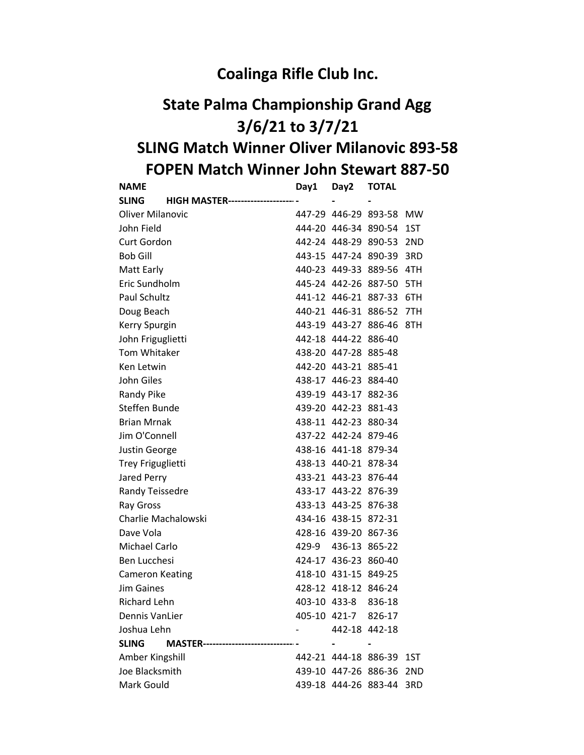## Coalinga Rifle Club Inc.

## State Palma Championship Grand Agg 3/6/21 to 3/7/21 SLING Match Winner Oliver Milanovic 893-58 FOPEN Match Winner John Stewart 887-50

| <b>NAME</b>                                             | Day1 | Day2                 | <b>TOTAL</b>             |           |
|---------------------------------------------------------|------|----------------------|--------------------------|-----------|
| <b>SLING</b><br><b>HIGH MASTER---------------------</b> |      |                      |                          |           |
| <b>Oliver Milanovic</b>                                 |      |                      | 447-29 446-29 893-58     | <b>MW</b> |
| John Field                                              |      |                      | 444-20 446-34 890-54     | 1ST       |
| Curt Gordon                                             |      |                      | 442-24 448-29 890-53     | 2ND       |
| <b>Bob Gill</b>                                         |      |                      | 443-15 447-24 890-39     | 3RD       |
| Matt Early                                              |      |                      | 440-23 449-33 889-56 4TH |           |
| Eric Sundholm                                           |      |                      | 445-24 442-26 887-50 5TH |           |
| Paul Schultz                                            |      |                      | 441-12 446-21 887-33 6TH |           |
| Doug Beach                                              |      |                      | 440-21 446-31 886-52 7TH |           |
| Kerry Spurgin                                           |      |                      | 443-19 443-27 886-46 8TH |           |
| John Friguglietti                                       |      | 442-18 444-22 886-40 |                          |           |
| Tom Whitaker                                            |      | 438-20 447-28 885-48 |                          |           |
| Ken Letwin                                              |      | 442-20 443-21 885-41 |                          |           |
| John Giles                                              |      | 438-17 446-23 884-40 |                          |           |
| Randy Pike                                              |      | 439-19 443-17 882-36 |                          |           |
| Steffen Bunde                                           |      | 439-20 442-23 881-43 |                          |           |
| <b>Brian Mrnak</b>                                      |      | 438-11 442-23 880-34 |                          |           |
| Jim O'Connell                                           |      | 437-22 442-24 879-46 |                          |           |
| Justin George                                           |      | 438-16 441-18 879-34 |                          |           |
| Trey Friguglietti                                       |      | 438-13 440-21 878-34 |                          |           |
| Jared Perry                                             |      | 433-21 443-23 876-44 |                          |           |
| Randy Teissedre                                         |      | 433-17 443-22 876-39 |                          |           |
| Ray Gross                                               |      | 433-13 443-25 876-38 |                          |           |
| Charlie Machalowski                                     |      | 434-16 438-15 872-31 |                          |           |
| Dave Vola                                               |      | 428-16 439-20 867-36 |                          |           |
| Michael Carlo                                           |      | 429-9 436-13 865-22  |                          |           |
| Ben Lucchesi                                            |      | 424-17 436-23 860-40 |                          |           |
| <b>Cameron Keating</b>                                  |      | 418-10 431-15 849-25 |                          |           |
| <b>Jim Gaines</b>                                       |      | 428-12 418-12 846-24 |                          |           |
| <b>Richard Lehn</b>                                     |      | 403-10 433-8         | 836-18                   |           |
| <b>Dennis VanLier</b>                                   |      | 405-10 421-7         | 826-17                   |           |
| Joshua Lehn                                             |      | 442-18 442-18        |                          |           |
| <b>SLING</b><br>MASTER-------------------------------   |      |                      |                          |           |
| Amber Kingshill                                         |      | 442-21 444-18 886-39 |                          | 1ST       |
| Joe Blacksmith                                          |      | 439-10 447-26 886-36 |                          | 2ND       |
| Mark Gould                                              |      | 439-18 444-26 883-44 |                          | 3RD       |